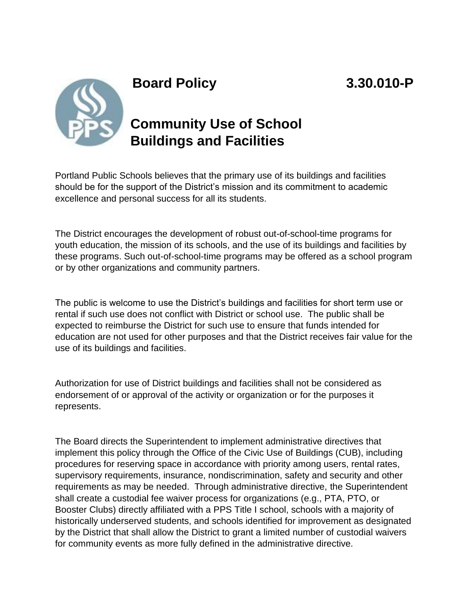



## **Board Policy 3.30.010-P**

## **Community Use of School Buildings and Facilities**

Portland Public Schools believes that the primary use of its buildings and facilities should be for the support of the District's mission and its commitment to academic excellence and personal success for all its students.

The District encourages the development of robust out-of-school-time programs for youth education, the mission of its schools, and the use of its buildings and facilities by these programs. Such out-of-school-time programs may be offered as a school program or by other organizations and community partners.

The public is welcome to use the District's buildings and facilities for short term use or rental if such use does not conflict with District or school use. The public shall be expected to reimburse the District for such use to ensure that funds intended for education are not used for other purposes and that the District receives fair value for the use of its buildings and facilities.

Authorization for use of District buildings and facilities shall not be considered as endorsement of or approval of the activity or organization or for the purposes it represents.

The Board directs the Superintendent to implement administrative directives that implement this policy through the Office of the Civic Use of Buildings (CUB), including procedures for reserving space in accordance with priority among users, rental rates, supervisory requirements, insurance, nondiscrimination, safety and security and other requirements as may be needed. Through administrative directive, the Superintendent shall create a custodial fee waiver process for organizations (e.g., PTA, PTO, or Booster Clubs) directly affiliated with a PPS Title I school, schools with a majority of historically underserved students, and schools identified for improvement as designated by the District that shall allow the District to grant a limited number of custodial waivers for community events as more fully defined in the administrative directive.